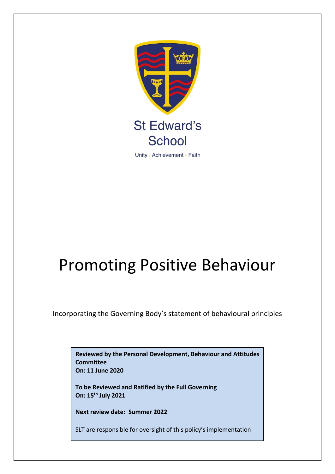

# Promoting Positive Behaviour

Incorporating the Governing Body's statement of behavioural principles

**Reviewed by the Personal Development, Behaviour and Attitudes Committee On: 11 June 2020**

**To be Reviewed and Ratified by the Full Governing On: 15th July 2021**

**Next review date: Summer 2022**

SLT are responsible for oversight of this policy's implementation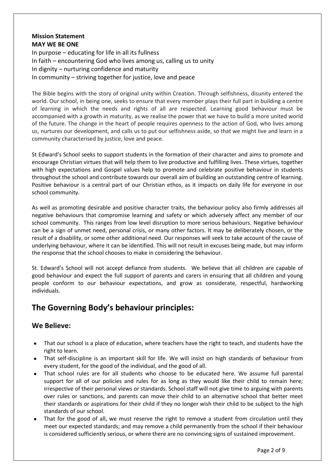### **Mission Statement MAY WE BE ONE**

In purpose – educating for life in all its fullness In faith – encountering God who lives among us, calling us to unity In dignity – nurturing confidence and maturity In community – striving together for justice, love and peace

The Bible begins with the story of original unity within Creation. Through selfishness, disunity entered the world. Our school, in being one, seeks to ensure that every member plays their full part in building a centre of learning in which the needs and rights of all are respected. Learning good behaviour must be accompanied with a growth in maturity, as we realise the power that we have to build a more united world of the future. The change in the heart of people requires openness to the action of God, who lives among us, nurtures our development, and calls us to put our selfishness aside, so that we might live and learn in a community characterised by justice, love and peace.

St Edward's School seeks to support students in the formation of their character and aims to promote and encourage Christian virtues that will help them to live productive and fulfilling lives. These virtues, together with high expectations and Gospel values help to promote and celebrate positive behaviour in students throughout the school and contribute towards our overall aim of building an outstanding centre of learning. Positive behaviour is a central part of our Christian ethos, as it impacts on daily life for everyone in our school community.

As well as promoting desirable and positive character traits, the behaviour policy also firmly addresses all negative behaviours that compromise learning and safety or which adversely affect any member of our school community. This ranges from low level disruption to more serious behaviours. Negative behaviour can be a sign of unmet need, personal crisis, or many other factors. It may be deliberately chosen, or the result of a disability, or some other additional need. Our responses will seek to take account of the cause of underlying behaviour, where it can be identified. This will not result in excuses being made, but may inform the response that the school chooses to make in considering the behaviour.

St. Edward's School will not accept defiance from students. We believe that all children are capable of good behaviour and expect the full support of parents and carers in ensuring that all children and young people conform to our behaviour expectations, and grow as considerate, respectful, hardworking individuals.

# **The Governing Body's behaviour principles:**

# **We Believe:**

- That our school is a place of education, where teachers have the right to teach, and students have the right to learn.
- That self-discipline is an important skill for life. We will insist on high standards of behaviour from every student, for the good of the individual, and the good of all.
- That school rules are for all students who choose to be educated here. We assume full parental support for all of our policies and rules for as long as they would like their child to remain here; irrespective of their personal views or standards. School staff will not give time to arguing with parents over rules or sanctions, and parents can move their child to an alternative school that better meet their standards or aspirations for their child if they no longer wish their child to be subject to the high standards of our school.
- That for the good of all, we must reserve the right to remove a student from circulation until they meet our expected standards; and may remove a child permanently from the school if their behaviour is considered sufficiently serious, or where there are no convincing signs of sustained improvement.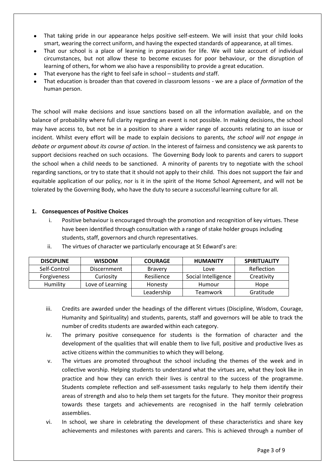- That taking pride in our appearance helps positive self-esteem. We will insist that your child looks smart, wearing the correct uniform, and having the expected standards of appearance, at all times.
- That our school is a place of learning in preparation for life. We will take account of individual circumstances, but not allow these to become excuses for poor behaviour, or the disruption of learning of others, for whom we also have a responsibility to provide a great education.
- That everyone has the right to feel safe in school students *and* staff.
- That education is broader than that covered in classroom lessons we are a place of *formation* of the human person.

The school will make decisions and issue sanctions based on all the information available, and on the balance of probability where full clarity regarding an event is not possible. In making decisions, the school may have access to, but not be in a position to share a wider range of accounts relating to an issue or incident. Whilst every effort will be made to explain decisions to parents*, the school will not engage in debate or argument about its course of action*. In the interest of fairness and consistency we ask parents to support decisions reached on such occasions. The Governing Body look to parents and carers to support the school when a child needs to be sanctioned. A minority of parents try to negotiate with the school regarding sanctions, or try to state that it should not apply to their child. This does not support the fair and equitable application of our policy, nor is it in the spirit of the Home School Agreement, and will not be tolerated by the Governing Body, who have the duty to secure a successful learning culture for all.

#### **1. Consequences of Positive Choices**

i. Positive behaviour is encouraged through the promotion and recognition of key virtues. These have been identified through consultation with a range of stake holder groups including students, staff, governors and church representatives.

| <b>DISCIPLINE</b>  | <b>WISDOM</b>      | <b>COURAGE</b> | <b>HUMANITY</b>     | <b>SPIRITUALITY</b> |
|--------------------|--------------------|----------------|---------------------|---------------------|
| Self-Control       | <b>Discernment</b> | <b>Bravery</b> | Love                | Reflection          |
| <b>Forgiveness</b> | Curiosity          | Resilience     | Social Intelligence | Creativity          |
| Humility           | Love of Learning   | Honesty        | Humour              | Hope                |
|                    |                    | Leadership     | Teamwork            | Gratitude           |

ii. The virtues of character we particularly encourage at St Edward's are:

- iii. Credits are awarded under the headings of the different virtues (Discipline, Wisdom, Courage, Humanity and Spirituality) and students, parents, staff and governors will be able to track the number of credits students are awarded within each category.
- iv. The primary positive consequence for students is the formation of character and the development of the qualities that will enable them to live full, positive and productive lives as active citizens within the communities to which they will belong.
- v. The virtues are promoted throughout the school including the themes of the week and in collective worship. Helping students to understand what the virtues are, what they look like in practice and how they can enrich their lives is central to the success of the programme. Students complete reflection and self-assessment tasks regularly to help them identify their areas of strength and also to help them set targets for the future. They monitor their progress towards these targets and achievements are recognised in the half termly celebration assemblies.
- vi. In school, we share in celebrating the development of these characteristics and share key achievements and milestones with parents and carers. This is achieved through a number of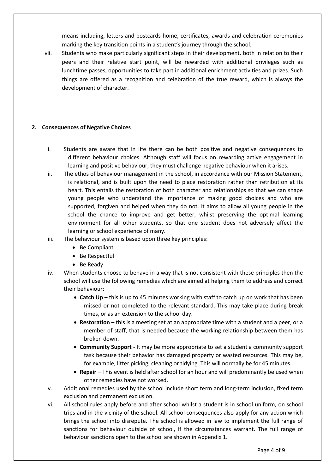means including, letters and postcards home, certificates, awards and celebration ceremonies marking the key transition points in a student's journey through the school.

vii. Students who make particularly significant steps in their development, both in relation to their peers and their relative start point, will be rewarded with additional privileges such as lunchtime passes, opportunities to take part in additional enrichment activities and prizes. Such things are offered as a recognition and celebration of the true reward, which is always the development of character.

#### **2. Consequences of Negative Choices**

- i. Students are aware that in life there can be both positive and negative consequences to different behaviour choices. Although staff will focus on rewarding active engagement in learning and positive behaviour, they must challenge negative behaviour when it arises.
- ii. The ethos of behaviour management in the school, in accordance with our Mission Statement, is relational, and is built upon the need to place restoration rather than retribution at its heart. This entails the restoration of both character and relationships so that we can shape young people who understand the importance of making good choices and who are supported, forgiven and helped when they do not. It aims to allow all young people in the school the chance to improve and get better, whilst preserving the optimal learning environment for all other students, so that one student does not adversely affect the learning or school experience of many.
- iii. The behaviour system is based upon three key principles:
	- Be Compliant
	- Be Respectful
	- Be Ready
- iv. When students choose to behave in a way that is not consistent with these principles then the school will use the following remedies which are aimed at helping them to address and correct their behaviour:
	- **Catch Up** this is up to 45 minutes working with staff to catch up on work that has been missed or not completed to the relevant standard. This may take place during break times, or as an extension to the school day.
	- **Restoration** this is a meeting set at an appropriate time with a student and a peer, or a member of staff, that is needed because the working relationship between them has broken down.
	- **Community Support** It may be more appropriate to set a student a community support task because their behavior has damaged property or wasted resources. This may be, for example, litter picking, cleaning or tidying. This will normally be for 45 minutes.
	- **Repair** This event is held after school for an hour and will predominantly be used when other remedies have not worked.
- v. Additional remedies used by the school include short term and long-term inclusion, fixed term exclusion and permanent exclusion.
- vi. All school rules apply before and after school whilst a student is in school uniform, on school trips and in the vicinity of the school. All school consequences also apply for any action which brings the school into disrepute. The school is allowed in law to implement the full range of sanctions for behaviour outside of school, if the circumstances warrant. The full range of behaviour sanctions open to the school are shown in Appendix 1.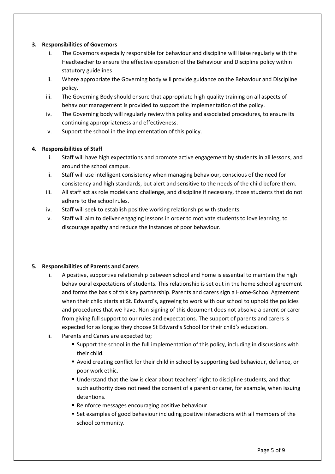#### **3. Responsibilities of Governors**

- i. The Governors especially responsible for behaviour and discipline will liaise regularly with the Headteacher to ensure the effective operation of the Behaviour and Discipline policy within statutory guidelines
- ii. Where appropriate the Governing body will provide guidance on the Behaviour and Discipline policy.
- iii. The Governing Body should ensure that appropriate high-quality training on all aspects of behaviour management is provided to support the implementation of the policy.
- iv. The Governing body will regularly review this policy and associated procedures, to ensure its continuing appropriateness and effectiveness.
- v. Support the school in the implementation of this policy.

#### **4. Responsibilities of Staff**

- i. Staff will have high expectations and promote active engagement by students in all lessons, and around the school campus.
- ii. Staff will use intelligent consistency when managing behaviour, conscious of the need for consistency and high standards, but alert and sensitive to the needs of the child before them.
- iii. All staff act as role models and challenge, and discipline if necessary, those students that do not adhere to the school rules.
- iv. Staff will seek to establish positive working relationships with students.
- v. Staff will aim to deliver engaging lessons in order to motivate students to love learning, to discourage apathy and reduce the instances of poor behaviour.

#### **5. Responsibilities of Parents and Carers**

- i. A positive, supportive relationship between school and home is essential to maintain the high behavioural expectations of students. This relationship is set out in the home school agreement and forms the basis of this key partnership. Parents and carers sign a Home-School Agreement when their child starts at St. Edward's, agreeing to work with our school to uphold the policies and procedures that we have. Non-signing of this document does not absolve a parent or carer from giving full support to our rules and expectations. The support of parents and carers is expected for as long as they choose St Edward's School for their child's education.
- ii. Parents and Carers are expected to;
	- **E** Support the school in the full implementation of this policy, including in discussions with their child.
	- Avoid creating conflict for their child in school by supporting bad behaviour, defiance, or poor work ethic.
	- **Understand that the law is clear about teachers' right to discipline students, and that** such authority does not need the consent of a parent or carer, for example, when issuing detentions.
	- **E** Reinforce messages encouraging positive behaviour.
	- Set examples of good behaviour including positive interactions with all members of the school community.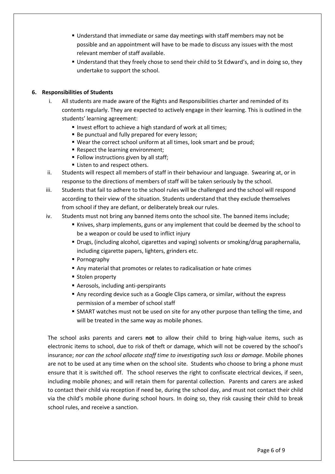- **Understand that immediate or same day meetings with staff members may not be** possible and an appointment will have to be made to discuss any issues with the most relevant member of staff available.
- **.** Understand that they freely chose to send their child to St Edward's, and in doing so, they undertake to support the school.

#### **6. Responsibilities of Students**

- i. All students are made aware of the Rights and Responsibilities charter and reminded of its contents regularly. They are expected to actively engage in their learning. This is outlined in the students' learning agreement:
	- Invest effort to achieve a high standard of work at all times;
	- Be punctual and fully prepared for every lesson;
	- Wear the correct school uniform at all times, look smart and be proud;
	- Respect the learning environment;
	- Follow instructions given by all staff;
	- Listen to and respect others.
- ii. Students will respect all members of staff in their behaviour and language. Swearing at, or in response to the directions of members of staff will be taken seriously by the school.
- iii. Students that fail to adhere to the school rules will be challenged and the school will respond according to their view of the situation. Students understand that they exclude themselves from school if they are defiant, or deliberately break our rules.
- iv. Students must not bring any banned items onto the school site. The banned items include;
	- Knives, sharp implements, guns or any implement that could be deemed by the school to be a weapon or could be used to inflict injury
	- Drugs, (including alcohol, cigarettes and vaping) solvents or smoking/drug paraphernalia, including cigarette papers, lighters, grinders etc.
	- Pornography
	- Any material that promotes or relates to radicalisation or hate crimes
	- Stolen property
	- Aerosols, including anti-perspirants
	- **Any recording device such as a Google Clips camera, or similar, without the express** permission of a member of school staff
	- **SMART watches must not be used on site for any other purpose than telling the time, and** will be treated in the same way as mobile phones.

The school asks parents and carers **not** to allow their child to bring high-value items, such as electronic items to school, due to risk of theft or damage, which will not be covered by the school's insurance; *nor can the school allocate staff time to investigating such loss or damage*. Mobile phones are not to be used at any time when on the school site. Students who choose to bring a phone must ensure that it is switched off. The school reserves the right to confiscate electrical devices, if seen, including mobile phones; and will retain them for parental collection. Parents and carers are asked to contact their child via reception if need be, during the school day, and must not contact their child via the child's mobile phone during school hours. In doing so, they risk causing their child to break school rules, and receive a sanction.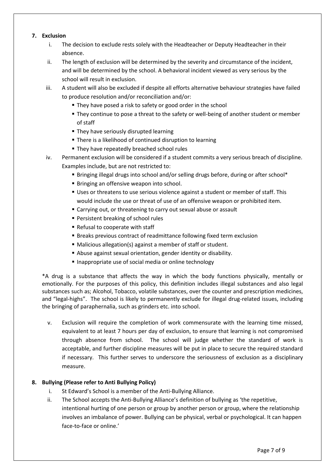#### **7. Exclusion**

- i. The decision to exclude rests solely with the Headteacher or Deputy Headteacher in their absence.
- ii. The length of exclusion will be determined by the severity and circumstance of the incident, and will be determined by the school. A behavioral incident viewed as very serious by the school will result in exclusion.
- iii. A student will also be excluded if despite all efforts alternative behaviour strategies have failed to produce resolution and/or reconciliation and/or:
	- They have posed a risk to safety or good order in the school
	- **They continue to pose a threat to the safety or well-being of another student or member** of staff
	- **They have seriously disrupted learning**
	- There is a likelihood of continued disruption to learning
	- **EXTERG** They have repeatedly breached school rules
- iv. Permanent exclusion will be considered if a student commits a very serious breach of discipline. Examples include, but are not restricted to:
	- Bringing illegal drugs into school and/or selling drugs before, during or after school\*
	- **E** Bringing an offensive weapon into school.
	- **Uses or threatens to use serious violence against a student or member of staff. This** would include the use or threat of use of an offensive weapon or prohibited item.
	- Carrying out, or threatening to carry out sexual abuse or assault
	- Persistent breaking of school rules
	- Refusal to cooperate with staff
	- Breaks previous contract of readmittance following fixed term exclusion
	- Malicious allegation(s) against a member of staff or student.
	- Abuse against sexual orientation, gender identity or disability.
	- Inappropriate use of social media or online technology

\*A drug is a substance that affects the way in which the body functions physically, mentally or emotionally. For the purposes of this policy, this definition includes illegal substances and also legal substances such as; Alcohol, Tobacco, volatile substances, over the counter and prescription medicines, and "legal-highs". The school is likely to permanently exclude for illegal drug-related issues, including the bringing of paraphernalia, such as grinders etc. into school.

v. Exclusion will require the completion of work commensurate with the learning time missed, equivalent to at least 7 hours per day of exclusion, to ensure that learning is not compromised through absence from school. The school will judge whether the standard of work is acceptable, and further discipline measures will be put in place to secure the required standard if necessary. This further serves to underscore the seriousness of exclusion as a disciplinary measure.

#### **8. Bullying (Please refer to Anti Bullying Policy)**

- i. St Edward's School is a member of the Anti-Bullying Alliance.
- ii. The School accepts the Anti-Bullying Alliance's definition of bullying as 'the repetitive, intentional hurting of one person or group by another person or group, where the relationship involves an imbalance of power. Bullying can be physical, verbal or psychological. It can happen face-to-face or online.'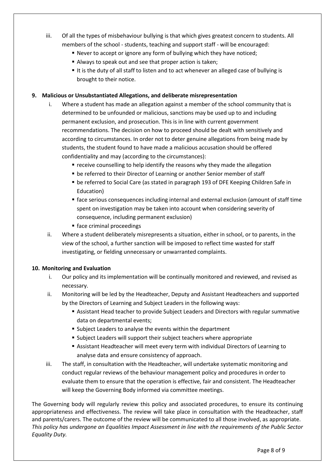- iii. Of all the types of misbehaviour bullying is that which gives greatest concern to students. All members of the school - students, teaching and support staff - will be encouraged:
	- Never to accept or ignore any form of bullying which they have noticed;
	- Always to speak out and see that proper action is taken;
	- It is the duty of all staff to listen and to act whenever an alleged case of bullying is brought to their notice.

#### **9. Malicious or Unsubstantiated Allegations, and deliberate misrepresentation**

- i. Where a student has made an allegation against a member of the school community that is determined to be unfounded or malicious, sanctions may be used up to and including permanent exclusion, and prosecution. This is in line with current government recommendations. The decision on how to proceed should be dealt with sensitively and according to circumstances. In order not to deter genuine allegations from being made by students, the student found to have made a malicious accusation should be offered confidentiality and may (according to the circumstances):
	- receive counselling to help identify the reasons why they made the allegation
	- be referred to their Director of Learning or another Senior member of staff
	- **be referred to Social Care (as stated in paragraph 193 of DFE Keeping Children Safe in** Education)
	- **•** face serious consequences including internal and external exclusion (amount of staff time spent on investigation may be taken into account when considering severity of consequence, including permanent exclusion)
	- face criminal proceedings
- ii. Where a student deliberately misrepresents a situation, either in school, or to parents, in the view of the school, a further sanction will be imposed to reflect time wasted for staff investigating, or fielding unnecessary or unwarranted complaints.

#### **10. Monitoring and Evaluation**

- i. Our policy and its implementation will be continually monitored and reviewed, and revised as necessary.
- ii. Monitoring will be led by the Headteacher, Deputy and Assistant Headteachers and supported by the Directors of Learning and Subject Leaders in the following ways:
	- **EXECTS Assistant Head teacher to provide Subject Leaders and Directors with regular summative** data on departmental events;
	- Subject Leaders to analyse the events within the department
	- Subject Leaders will support their subject teachers where appropriate
	- **EXECTS Assistant Headteacher will meet every term with individual Directors of Learning to** analyse data and ensure consistency of approach.
- iii. The staff, in consultation with the Headteacher, will undertake systematic monitoring and conduct regular reviews of the behaviour management policy and procedures in order to evaluate them to ensure that the operation is effective, fair and consistent. The Headteacher will keep the Governing Body informed via committee meetings.

The Governing body will regularly review this policy and associated procedures, to ensure its continuing appropriateness and effectiveness. The review will take place in consultation with the Headteacher, staff and parents/carers. The outcome of the review will be communicated to all those involved, as appropriate. *This policy has undergone an Equalities Impact Assessment in line with the requirements of the Public Sector Equality Duty.*